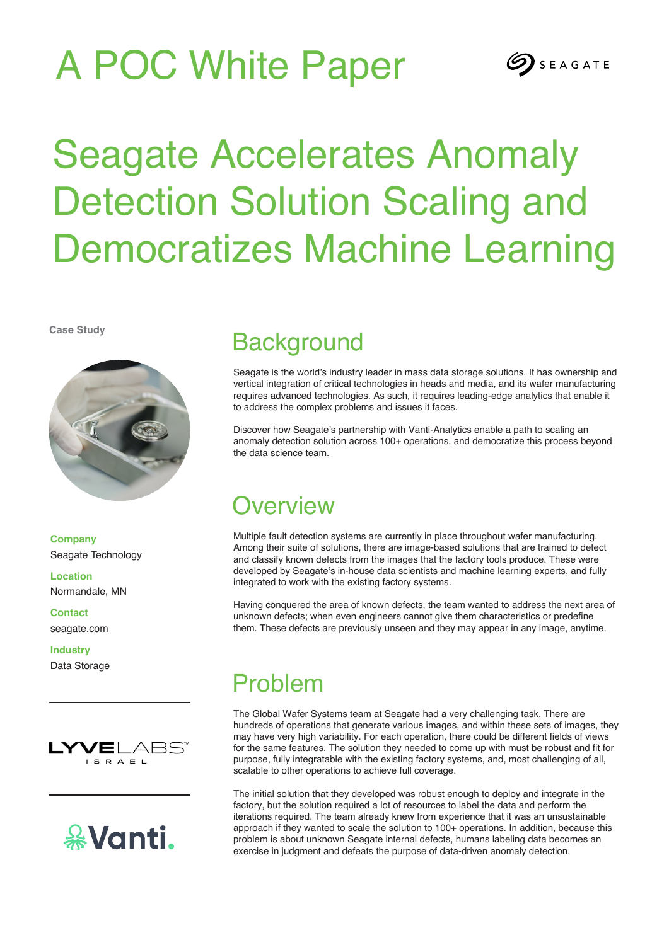# A POC White Paper



# Seagate Accelerates Anomaly Detection Solution Scaling and Democratizes Machine Learning

**Case Study**



**Company** Seagate Technology

**Location** Normandale, MN

**Contact** seagate.com

**Industry** Data Storage





## **Background**

Seagate is the world's industry leader in mass data storage solutions. It has ownership and vertical integration of critical technologies in heads and media, and its wafer manufacturing requires advanced technologies. As such, it requires leading-edge analytics that enable it to address the complex problems and issues it faces.

Discover how Seagate's partnership with Vanti-Analytics enable a path to scaling an anomaly detection solution across 100+ operations, and democratize this process beyond the data science team.

## **Overview**

Multiple fault detection systems are currently in place throughout wafer manufacturing. Among their suite of solutions, there are image-based solutions that are trained to detect and classify known defects from the images that the factory tools produce. These were developed by Seagate's in-house data scientists and machine learning experts, and fully integrated to work with the existing factory systems.

Having conquered the area of known defects, the team wanted to address the next area of unknown defects; when even engineers cannot give them characteristics or predefine them. These defects are previously unseen and they may appear in any image, anytime.

## Problem

The Global Wafer Systems team at Seagate had a very challenging task. There are hundreds of operations that generate various images, and within these sets of images, they may have very high variability. For each operation, there could be different fields of views for the same features. The solution they needed to come up with must be robust and fit for purpose, fully integratable with the existing factory systems, and, most challenging of all, scalable to other operations to achieve full coverage.

The initial solution that they developed was robust enough to deploy and integrate in the factory, but the solution required a lot of resources to label the data and perform the iterations required. The team already knew from experience that it was an unsustainable approach if they wanted to scale the solution to 100+ operations. In addition, because this problem is about unknown Seagate internal defects, humans labeling data becomes an exercise in judgment and defeats the purpose of data-driven anomaly detection.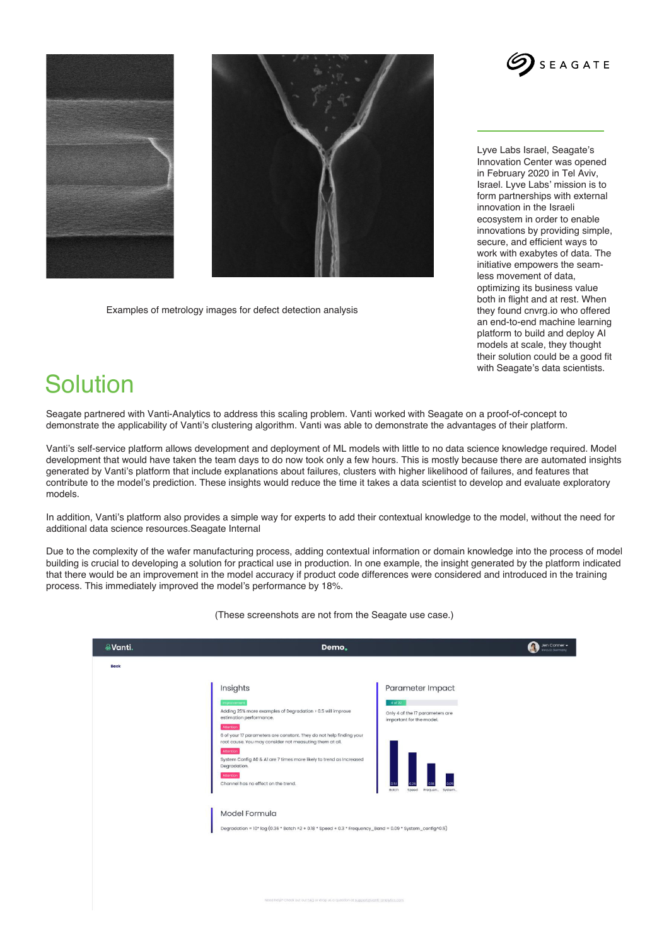





Examples of metrology images for defect detection analysis

Lyve Labs Israel, Seagate's Innovation Center was opened in February 2020 in Tel Aviv, Israel. Lyve Labs' mission is to form partnerships with external innovation in the Israeli ecosystem in order to enable innovations by providing simple, secure, and efficient ways to work with exabytes of data. The initiative empowers the seamless movement of data, optimizing its business value both in flight and at rest. When they found cnvrg.io who offered an end-to-end machine learning platform to build and deploy AI models at scale, they thought their solution could be a good fit with Seagate's data scientists.

#### **Solution**

Seagate partnered with Vanti-Analytics to address this scaling problem. Vanti worked with Seagate on a proof-of-concept to demonstrate the applicability of Vanti's clustering algorithm. Vanti was able to demonstrate the advantages of their platform.

Vanti's self-service platform allows development and deployment of ML models with little to no data science knowledge required. Model development that would have taken the team days to do now took only a few hours. This is mostly because there are automated insights generated by Vanti's platform that include explanations about failures, clusters with higher likelihood of failures, and features that contribute to the model's prediction. These insights would reduce the time it takes a data scientist to develop and evaluate exploratory models.

In addition, Vanti's platform also provides a simple way for experts to add their contextual knowledge to the model, without the need for additional data science resources.Seagate Internal

Due to the complexity of the wafer manufacturing process, adding contextual information or domain knowledge into the process of model building is crucial to developing a solution for practical use in production. In one example, the insight generated by the platform indicated that there would be an improvement in the model accuracy if product code differences were considered and introduced in the training process. This immediately improved the model's performance by 18%.

| <b>eVanti.</b> | Demo,                                                                                                                                                                                                                                                                                                                                                                                                                                                                                                                                                       | L,                                                                                                                             | Jen Conner -<br>Innoviz Germany |
|----------------|-------------------------------------------------------------------------------------------------------------------------------------------------------------------------------------------------------------------------------------------------------------------------------------------------------------------------------------------------------------------------------------------------------------------------------------------------------------------------------------------------------------------------------------------------------------|--------------------------------------------------------------------------------------------------------------------------------|---------------------------------|
| <b>Back</b>    |                                                                                                                                                                                                                                                                                                                                                                                                                                                                                                                                                             |                                                                                                                                |                                 |
|                | Insights<br>Improvement<br>Adding 25% more examples of Degradation > 0.5 will improve<br>estimation performance.<br>Attention<br>6 of your 17 parameters are constant. They do not help finding your<br>root cause. You may consider not measuting them at all.<br>Attention<br>System Config A0 & A1 are 7 times more likely to trend as Increased<br>Degradation.<br><b>Attention</b><br>Channel has no effect on the trend.<br>Model Formula<br>Degradation = 10* log (0.36 * Batch ^2 + 0.18 * Speed + 0.3 * Frequency_Band = 0.09 * System_config^0.5) | Parameter Impact<br>4 of 22<br>Only 4 of the 17 parameters are<br>important for the model.<br>Botch<br>Speed<br>Frequen System |                                 |
|                | Need help? Check out out FAQ or drop us a question at support pivanti-analytics.com                                                                                                                                                                                                                                                                                                                                                                                                                                                                         |                                                                                                                                |                                 |

(These screenshots are not from the Seagate use case.)